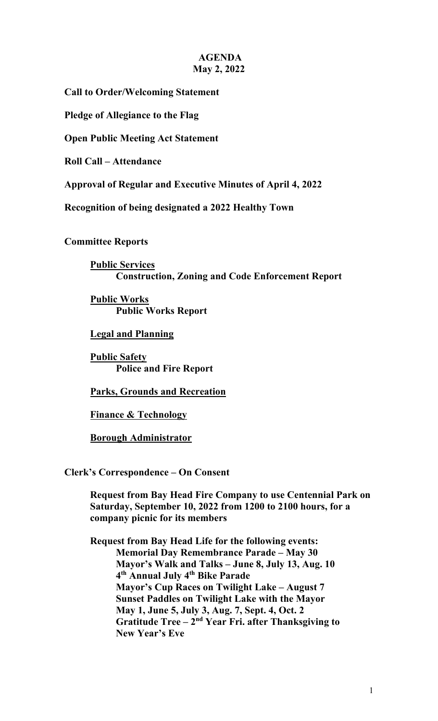## **AGENDA May 2, 2022**

**Call to Order/Welcoming Statement**

**Pledge of Allegiance to the Flag**

**Open Public Meeting Act Statement**

**Roll Call – Attendance**

**Approval of Regular and Executive Minutes of April 4, 2022**

**Recognition of being designated a 2022 Healthy Town**

**Committee Reports**

**Public Services Construction, Zoning and Code Enforcement Report** 

**Public Works Public Works Report**

**Legal and Planning**

**Public Safety Police and Fire Report** 

**Parks, Grounds and Recreation**

**Finance & Technology**

**Borough Administrator**

**Clerk's Correspondence – On Consent**

**Request from Bay Head Fire Company to use Centennial Park on Saturday, September 10, 2022 from 1200 to 2100 hours, for a company picnic for its members**

**Request from Bay Head Life for the following events: Memorial Day Remembrance Parade – May 30 Mayor's Walk and Talks – June 8, July 13, Aug. 10 4th Annual July 4th Bike Parade Mayor's Cup Races on Twilight Lake – August 7 Sunset Paddles on Twilight Lake with the Mayor May 1, June 5, July 3, Aug. 7, Sept. 4, Oct. 2 Gratitude Tree – 2nd Year Fri. after Thanksgiving to New Year's Eve**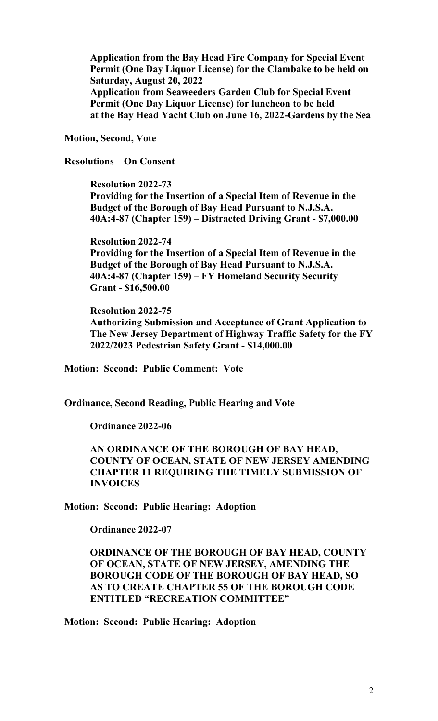**Application from the Bay Head Fire Company for Special Event Permit (One Day Liquor License) for the Clambake to be held on Saturday, August 20, 2022 Application from Seaweeders Garden Club for Special Event Permit (One Day Liquor License) for luncheon to be held at the Bay Head Yacht Club on June 16, 2022-Gardens by the Sea**

**Motion, Second, Vote**

**Resolutions – On Consent**

**Resolution 2022-73 Providing for the Insertion of a Special Item of Revenue in the Budget of the Borough of Bay Head Pursuant to N.J.S.A. 40A:4-87 (Chapter 159) – Distracted Driving Grant - \$7,000.00**

**Resolution 2022-74 Providing for the Insertion of a Special Item of Revenue in the Budget of the Borough of Bay Head Pursuant to N.J.S.A. 40A:4-87 (Chapter 159) – FY Homeland Security Security Grant - \$16,500.00**

**Resolution 2022-75**

**Authorizing Submission and Acceptance of Grant Application to The New Jersey Department of Highway Traffic Safety for the FY 2022/2023 Pedestrian Safety Grant - \$14,000.00**

**Motion: Second: Public Comment: Vote**

**Ordinance, Second Reading, Public Hearing and Vote**

**Ordinance 2022-06**

**AN ORDINANCE OF THE BOROUGH OF BAY HEAD, COUNTY OF OCEAN, STATE OF NEW JERSEY AMENDING CHAPTER 11 REQUIRING THE TIMELY SUBMISSION OF INVOICES**

**Motion: Second: Public Hearing: Adoption**

**Ordinance 2022-07**

**ORDINANCE OF THE BOROUGH OF BAY HEAD, COUNTY OF OCEAN, STATE OF NEW JERSEY, AMENDING THE BOROUGH CODE OF THE BOROUGH OF BAY HEAD, SO AS TO CREATE CHAPTER 55 OF THE BOROUGH CODE ENTITLED "RECREATION COMMITTEE"**

**Motion: Second: Public Hearing: Adoption**